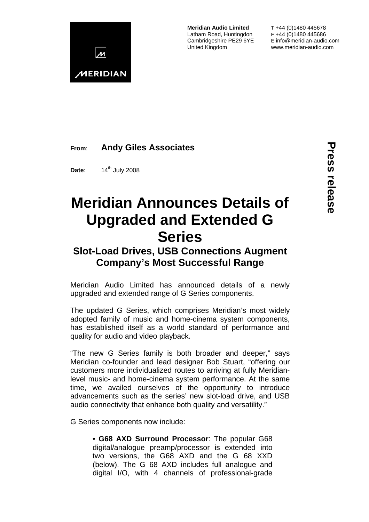

**Meridian Audio Limited** Latham Road, Huntingdon Cambridgeshire PE29 6YE United Kingdom

T +44 (0)1480 445678 F +44 (0)1480 445686 E info@meridian-audio.com www.meridian-audio.com

## **From**: **Andy Giles Associates**

**Date:** 14<sup>th</sup> July 2008

# **Meridian Announces Details of Upgraded and Extended G Series**

# **Slot-Load Drives, USB Connections Augment Company's Most Successful Range**

Meridian Audio Limited has announced details of a newly upgraded and extended range of G Series components.

The updated G Series, which comprises Meridian's most widely adopted family of music and home-cinema system components, has established itself as a world standard of performance and quality for audio and video playback.

"The new G Series family is both broader and deeper," says Meridian co-founder and lead designer Bob Stuart, "offering our customers more individualized routes to arriving at fully Meridianlevel music- and home-cinema system performance. At the same time, we availed ourselves of the opportunity to introduce advancements such as the series' new slot-load drive, and USB audio connectivity that enhance both quality and versatility."

G Series components now include:

**• G68 AXD Surround Processor**: The popular G68 digital/analogue preamp/processor is extended into two versions, the G68 AXD and the G 68 XXD (below). The G 68 AXD includes full analogue and digital I/O, with 4 channels of professional-grade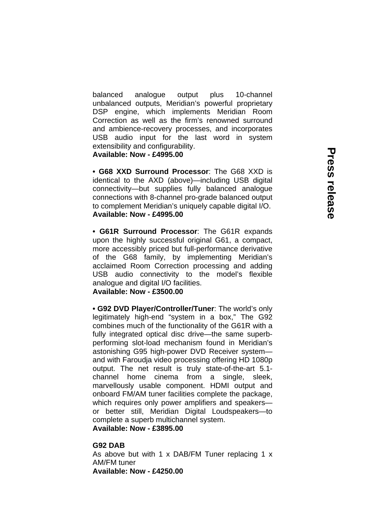balanced analogue output plus 10-channel unbalanced outputs, Meridian's powerful proprietary DSP engine, which implements Meridian Room Correction as well as the firm's renowned surround and ambience-recovery processes, and incorporates USB audio input for the last word in system extensibility and configurability. **Available: Now - £4995.00** 

**• G68 XXD Surround Processor**: The G68 XXD is identical to the AXD (above)—including USB digital connectivity—but supplies fully balanced analogue connections with 8-channel pro-grade balanced output to complement Meridian's uniquely capable digital I/O. **Available: Now - £4995.00** 

**• G61R Surround Processor**: The G61R expands upon the highly successful original G61, a compact, more accessibly priced but full-performance derivative of the G68 family, by implementing Meridian's acclaimed Room Correction processing and adding USB audio connectivity to the model's flexible analogue and digital I/O facilities.

## **Available: Now - £3500.00**

**• G92 DVD Player/Controller/Tuner**: The world's only legitimately high-end "system in a box," The G92 combines much of the functionality of the G61R with a fully integrated optical disc drive—the same superbperforming slot-load mechanism found in Meridian's astonishing G95 high-power DVD Receiver system and with Faroudja video processing offering HD 1080p output. The net result is truly state-of-the-art 5.1 channel home cinema from a single, sleek, marvellously usable component. HDMI output and onboard FM/AM tuner facilities complete the package, which requires only power amplifiers and speakers or better still, Meridian Digital Loudspeakers—to complete a superb multichannel system.

**Available: Now - £3895.00** 

#### **G92 DAB**

As above but with 1 x DAB/FM Tuner replacing 1 x AM/FM tuner **Available: Now - £4250.00**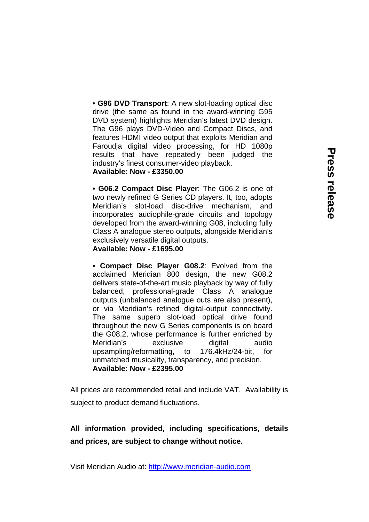**• G96 DVD Transport**: A new slot-loading optical disc drive (the same as found in the award-winning G95 DVD system) highlights Meridian's latest DVD design. The G96 plays DVD-Video and Compact Discs, and features HDMI video output that exploits Meridian and Faroudja digital video processing, for HD 1080p results that have repeatedly been judged the industry's finest consumer-video playback.

### **Available: Now - £3350.00**

**• G06.2 Compact Disc Player**: The G06.2 is one of two newly refined G Series CD players. It, too, adopts Meridian's slot-load disc-drive mechanism, and incorporates audiophile-grade circuits and topology developed from the award-winning G08, including fully Class A analogue stereo outputs, alongside Meridian's exclusively versatile digital outputs.

#### **Available: Now - £1695.00**

**• Compact Disc Player G08.2**: Evolved from the acclaimed Meridian 800 design, the new G08.2 delivers state-of-the-art music playback by way of fully balanced, professional-grade Class A analogue outputs (unbalanced analogue outs are also present), or via Meridian's refined digital-output connectivity. The same superb slot-load optical drive found throughout the new G Series components is on board the G08.2, whose performance is further enriched by Meridian's exclusive digital audio upsampling/reformatting, to 176.4kHz/24-bit, for unmatched musicality, transparency, and precision. **Available: Now - £2395.00** 

All prices are recommended retail and include VAT. Availability is subject to product demand fluctuations.

# **All information provided, including specifications, details and prices, are subject to change without notice.**

Visit Meridian Audio at: [http://www.meridian-audio.com](http://www.meridian-audio.com/)